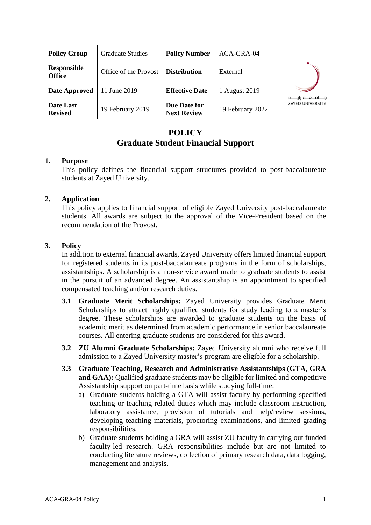| <b>Policy Group</b>                 | <b>Graduate Studies</b> | <b>Policy Number</b>               | ACA-GRA-04       |                         |
|-------------------------------------|-------------------------|------------------------------------|------------------|-------------------------|
| <b>Responsible</b><br><b>Office</b> | Office of the Provost   | <b>Distribution</b>                | External         |                         |
| Date Approved                       | 11 June 2019            | <b>Effective Date</b>              | 1 August 2019    |                         |
| Date Last<br><b>Revised</b>         | 19 February 2019        | Due Date for<br><b>Next Review</b> | 19 February 2022 | <b>ZAYED UNIVERSITY</b> |

# **POLICY Graduate Student Financial Support**

### **1. Purpose**

This policy defines the financial support structures provided to post-baccalaureate students at Zayed University.

## **2. Application**

This policy applies to financial support of eligible Zayed University post-baccalaureate students. All awards are subject to the approval of the Vice-President based on the recommendation of the Provost.

### **3. Policy**

In addition to external financial awards, Zayed University offers limited financial support for registered students in its post-baccalaureate programs in the form of scholarships, assistantships. A scholarship is a non-service award made to graduate students to assist in the pursuit of an advanced degree. An assistantship is an appointment to specified compensated teaching and/or research duties.

- **3.1 Graduate Merit Scholarships:** Zayed University provides Graduate Merit Scholarships to attract highly qualified students for study leading to a master's degree. These scholarships are awarded to graduate students on the basis of academic merit as determined from academic performance in senior baccalaureate courses. All entering graduate students are considered for this award.
- **3.2 ZU Alumni Graduate Scholarships:** Zayed University alumni who receive full admission to a Zayed University master's program are eligible for a scholarship.
- **3.3 Graduate Teaching, Research and Administrative Assistantships (GTA, GRA and GAA):** Qualified graduate students may be eligible for limited and competitive Assistantship support on part-time basis while studying full-time.
	- a) Graduate students holding a GTA will assist faculty by performing specified teaching or teaching-related duties which may include classroom instruction, laboratory assistance, provision of tutorials and help/review sessions, developing teaching materials, proctoring examinations, and limited grading responsibilities.
	- b) Graduate students holding a GRA will assist ZU faculty in carrying out funded faculty-led research. GRA responsibilities include but are not limited to conducting literature reviews, collection of primary research data, data logging, management and analysis.